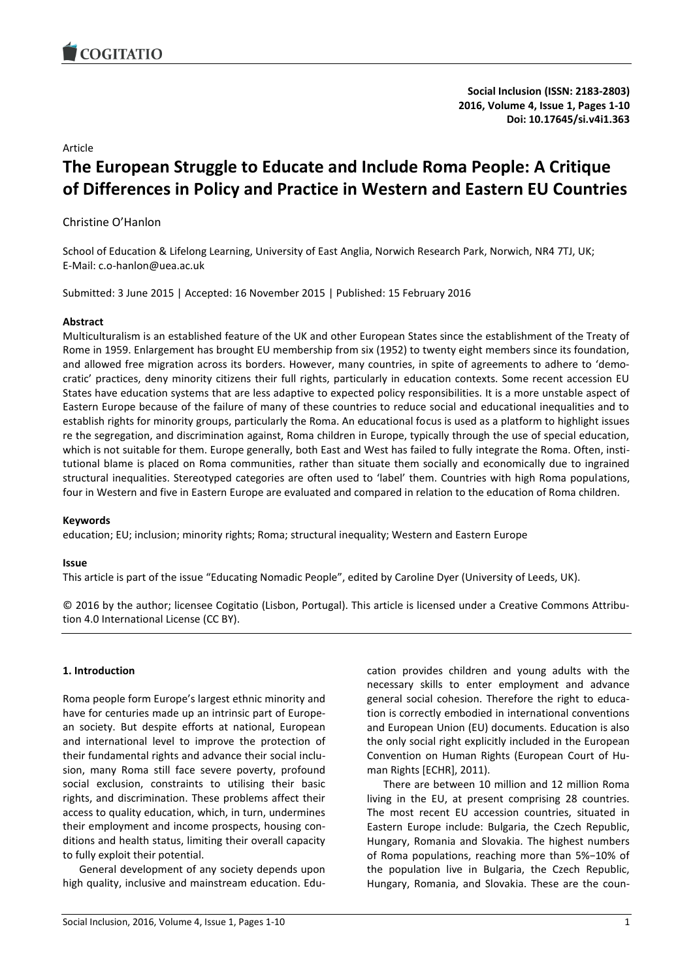

**Social Inclusion (ISSN: 2183-2803) 2016, Volume 4, Issue 1, Pages 1-10 Doi: 10.17645/si.v4i1.363**

#### Article

# **The European Struggle to Educate and Include Roma People: A Critique of Differences in Policy and Practice in Western and Eastern EU Countries**

Christine O'Hanlon

School of Education & Lifelong Learning, University of East Anglia, Norwich Research Park, Norwich, NR4 7TJ, UK; E-Mail: c.o-hanlon@uea.ac.uk

Submitted: 3 June 2015 | Accepted: 16 November 2015 | Published: 15 February 2016

#### **Abstract**

Multiculturalism is an established feature of the UK and other European States since the establishment of the Treaty of Rome in 1959. Enlargement has brought EU membership from six (1952) to twenty eight members since its foundation, and allowed free migration across its borders. However, many countries, in spite of agreements to adhere to 'democratic' practices, deny minority citizens their full rights, particularly in education contexts. Some recent accession EU States have education systems that are less adaptive to expected policy responsibilities. It is a more unstable aspect of Eastern Europe because of the failure of many of these countries to reduce social and educational inequalities and to establish rights for minority groups, particularly the Roma. An educational focus is used as a platform to highlight issues re the segregation, and discrimination against, Roma children in Europe, typically through the use of special education, which is not suitable for them. Europe generally, both East and West has failed to fully integrate the Roma. Often, institutional blame is placed on Roma communities, rather than situate them socially and economically due to ingrained structural inequalities. Stereotyped categories are often used to 'label' them. Countries with high Roma populations, four in Western and five in Eastern Europe are evaluated and compared in relation to the education of Roma children.

#### **Keywords**

education; EU; inclusion; minority rights; Roma; structural inequality; Western and Eastern Europe

#### **Issue**

This article is part of the issue "Educating Nomadic People", edited by Caroline Dyer (University of Leeds, UK).

© 2016 by the author; licensee Cogitatio (Lisbon, Portugal). This article is licensed under a Creative Commons Attribution 4.0 International License (CC BY).

## **1. Introduction**

Roma people form Europe's largest ethnic minority and have for centuries made up an intrinsic part of European society. But despite efforts at national, European and international level to improve the protection of their fundamental rights and advance their social inclusion, many Roma still face severe poverty, profound social exclusion, constraints to utilising their basic rights, and discrimination. These problems affect their access to quality education, which, in turn, undermines their employment and income prospects, housing conditions and health status, limiting their overall capacity to fully exploit their potential.

General development of any society depends upon high quality, inclusive and mainstream education. Education provides children and young adults with the necessary skills to enter employment and advance general social cohesion. Therefore the right to education is correctly embodied in international conventions and European Union (EU) documents. Education is also the only social right explicitly included in the European Convention on Human Rights (European Court of Human Rights [ECHR], 2011).

There are between 10 million and 12 million Roma living in the EU, at present comprising 28 countries. The most recent EU accession countries, situated in Eastern Europe include: Bulgaria, the Czech Republic, Hungary, Romania and Slovakia. The highest numbers of Roma populations, reaching more than 5%−10% of the population live in Bulgaria, the Czech Republic, Hungary, Romania, and Slovakia. These are the coun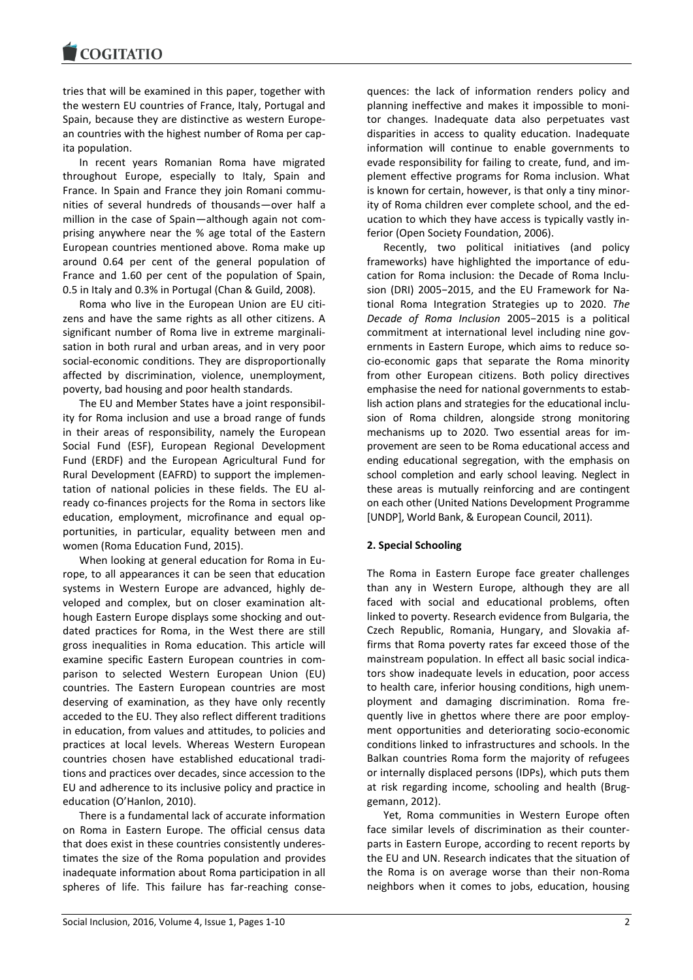tries that will be examined in this paper, together with the western EU countries of France, Italy, Portugal and Spain, because they are distinctive as western European countries with the highest number of Roma per capita population.

In recent years Romanian Roma have migrated throughout Europe, especially to Italy, Spain and France. In Spain and France they join Romani communities of several hundreds of thousands—over half a million in the case of Spain—although again not comprising anywhere near the % age total of the Eastern European countries mentioned above. Roma make up around 0.64 per cent of the general population of France and 1.60 per cent of the population of Spain, 0.5 in Italy and 0.3% in Portugal (Chan & Guild, 2008).

Roma who live in the European Union are EU citizens and have the same rights as all other citizens. A significant number of Roma live in extreme marginalisation in both rural and urban areas, and in very poor social-economic conditions. They are disproportionally affected by discrimination, violence, unemployment, poverty, bad housing and poor health standards.

The EU and Member States have a joint responsibility for Roma inclusion and use a broad range of funds in their areas of responsibility, namely the European Social Fund (ESF), European Regional Development Fund (ERDF) and the European Agricultural Fund for Rural Development (EAFRD) to support the implementation of national policies in these fields. The EU already co-finances projects for the Roma in sectors like education, employment, microfinance and equal opportunities, in particular, equality between men and women (Roma Education Fund, 2015).

When looking at general education for Roma in Europe, to all appearances it can be seen that education systems in Western Europe are advanced, highly developed and complex, but on closer examination although Eastern Europe displays some shocking and outdated practices for Roma, in the West there are still gross inequalities in Roma education. This article will examine specific Eastern European countries in comparison to selected Western European Union (EU) countries. The Eastern European countries are most deserving of examination, as they have only recently acceded to the EU. They also reflect different traditions in education, from values and attitudes, to policies and practices at local levels. Whereas Western European countries chosen have established educational traditions and practices over decades, since accession to the EU and adherence to its inclusive policy and practice in education (O'Hanlon, 2010).

There is a fundamental lack of accurate information on Roma in Eastern Europe. The official census data that does exist in these countries consistently underestimates the size of the Roma population and provides inadequate information about Roma participation in all spheres of life. This failure has far-reaching consequences: the lack of information renders policy and planning ineffective and makes it impossible to monitor changes. Inadequate data also perpetuates vast disparities in access to quality education. Inadequate information will continue to enable governments to evade responsibility for failing to create, fund, and implement effective programs for Roma inclusion. What is known for certain, however, is that only a tiny minority of Roma children ever complete school, and the education to which they have access is typically vastly inferior (Open Society Foundation, 2006).

Recently, two political initiatives (and policy frameworks) have highlighted the importance of education for Roma inclusion: the Decade of Roma Inclusion (DRI) 2005−2015, and the EU Framework for National Roma Integration Strategies up to 2020. *The Decade of Roma Inclusion* 2005−2015 is a political commitment at international level including nine governments in Eastern Europe, which aims to reduce socio-economic gaps that separate the Roma minority from other European citizens. Both policy directives emphasise the need for national governments to establish action plans and strategies for the educational inclusion of Roma children, alongside strong monitoring mechanisms up to 2020. Two essential areas for improvement are seen to be Roma educational access and ending educational segregation, with the emphasis on school completion and early school leaving. Neglect in these areas is mutually reinforcing and are contingent on each other (United Nations Development Programme [UNDP], World Bank, & European Council, 2011).

## **2. Special Schooling**

The Roma in Eastern Europe face greater challenges than any in Western Europe, although they are all faced with social and educational problems, often linked to poverty. Research evidence from Bulgaria, the Czech Republic, Romania, Hungary, and Slovakia affirms that Roma poverty rates far exceed those of the mainstream population. In effect all basic social indicators show inadequate levels in education, poor access to health care, inferior housing conditions, high unemployment and damaging discrimination. Roma frequently live in ghettos where there are poor employment opportunities and deteriorating socio-economic conditions linked to infrastructures and schools. In the Balkan countries Roma form the majority of refugees or internally displaced persons (IDPs), which puts them at risk regarding income, schooling and health (Bruggemann, 2012).

Yet, Roma communities in Western Europe often face similar levels of discrimination as their counterparts in Eastern Europe, according to recent reports by the EU and UN. Research indicates that the situation of the Roma is on average worse than their non-Roma neighbors when it comes to jobs, education, housing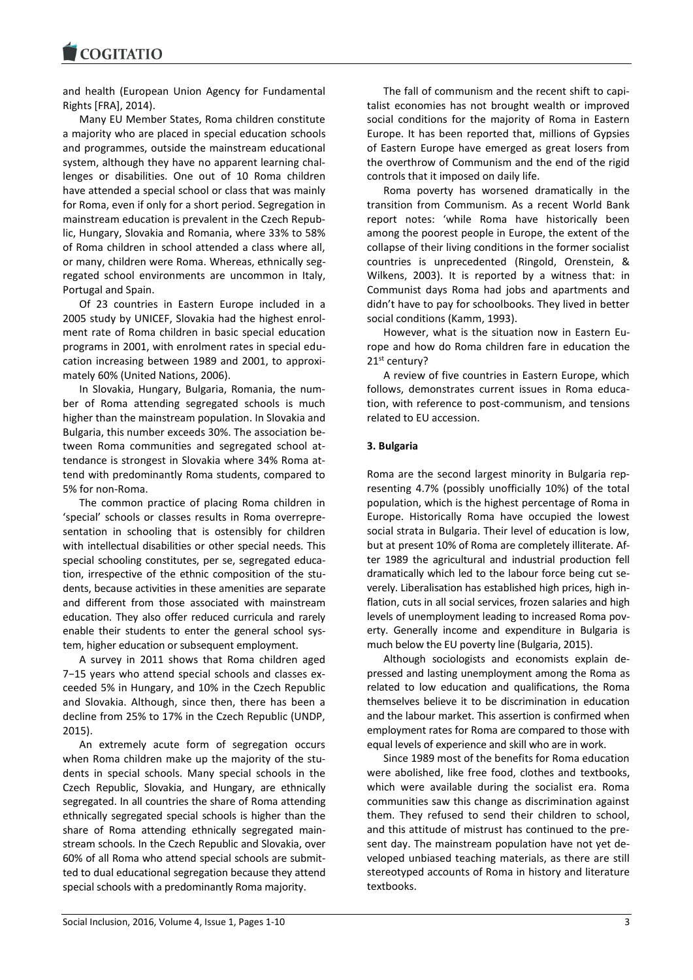**COGITATIO** 

and health (European Union Agency for Fundamental Rights [FRA], 2014).

Many EU Member States, Roma children constitute a majority who are placed in special education schools and programmes, outside the mainstream educational system, although they have no apparent learning challenges or disabilities. One out of 10 Roma children have attended a special school or class that was mainly for Roma, even if only for a short period. Segregation in mainstream education is prevalent in the Czech Republic, Hungary, Slovakia and Romania, where 33% to 58% of Roma children in school attended a class where all, or many, children were Roma. Whereas, ethnically segregated school environments are uncommon in Italy, Portugal and Spain.

Of 23 countries in Eastern Europe included in a 2005 study by UNICEF, Slovakia had the highest enrolment rate of Roma children in basic special education programs in 2001, with enrolment rates in special education increasing between 1989 and 2001, to approximately 60% (United Nations, 2006).

In Slovakia, Hungary, Bulgaria, Romania, the number of Roma attending segregated schools is much higher than the mainstream population. In Slovakia and Bulgaria, this number exceeds 30%. The association between Roma communities and segregated school attendance is strongest in Slovakia where 34% Roma attend with predominantly Roma students, compared to 5% for non-Roma.

The common practice of placing Roma children in 'special' schools or classes results in Roma overrepresentation in schooling that is ostensibly for children with intellectual disabilities or other special needs. This special schooling constitutes, per se, segregated education, irrespective of the ethnic composition of the students, because activities in these amenities are separate and different from those associated with mainstream education. They also offer reduced curricula and rarely enable their students to enter the general school system, higher education or subsequent employment.

A survey in 2011 shows that Roma children aged 7−15 years who attend special schools and classes exceeded 5% in Hungary, and 10% in the Czech Republic and Slovakia. Although, since then, there has been a decline from 25% to 17% in the Czech Republic (UNDP, 2015).

An extremely acute form of segregation occurs when Roma children make up the majority of the students in special schools. Many special schools in the Czech Republic, Slovakia, and Hungary, are ethnically segregated. In all countries the share of Roma attending ethnically segregated special schools is higher than the share of Roma attending ethnically segregated mainstream schools. In the Czech Republic and Slovakia, over 60% of all Roma who attend special schools are submitted to dual educational segregation because they attend special schools with a predominantly Roma majority.

The fall of communism and the recent shift to capitalist economies has not brought wealth or improved social conditions for the majority of Roma in Eastern Europe. It has been reported that, millions of Gypsies of Eastern Europe have emerged as great losers from the overthrow of Communism and the end of the rigid controls that it imposed on daily life.

Roma poverty has worsened dramatically in the transition from Communism. As a recent World Bank report notes: 'while Roma have historically been among the poorest people in Europe, the extent of the collapse of their living conditions in the former socialist countries is unprecedented (Ringold, Orenstein, & Wilkens, 2003). It is reported by a witness that: in Communist days Roma had jobs and apartments and didn't have to pay for schoolbooks. They lived in better social conditions (Kamm, 1993).

However, what is the situation now in Eastern Europe and how do Roma children fare in education the 21st century?

A review of five countries in Eastern Europe, which follows, demonstrates current issues in Roma education, with reference to post-communism, and tensions related to EU accession.

# **3. Bulgaria**

Roma are the second largest minority in Bulgaria representing 4.7% (possibly unofficially 10%) of the total population, which is the highest percentage of Roma in Europe. Historically Roma have occupied the lowest social strata in Bulgaria. Their level of education is low, but at present 10% of Roma are completely illiterate. After 1989 the agricultural and industrial production fell dramatically which led to the labour force being cut severely. Liberalisation has established high prices, high inflation, cuts in all social services, frozen salaries and high levels of unemployment leading to increased Roma poverty. Generally income and expenditure in Bulgaria is much below the EU poverty line (Bulgaria, 2015).

Although sociologists and economists explain depressed and lasting unemployment among the Roma as related to low education and qualifications, the Roma themselves believe it to be discrimination in education and the labour market. This assertion is confirmed when employment rates for Roma are compared to those with equal levels of experience and skill who are in work.

Since 1989 most of the benefits for Roma education were abolished, like free food, clothes and textbooks, which were available during the socialist era. Roma communities saw this change as discrimination against them. They refused to send their children to school, and this attitude of mistrust has continued to the present day. The mainstream population have not yet developed unbiased teaching materials, as there are still stereotyped accounts of Roma in history and literature textbooks.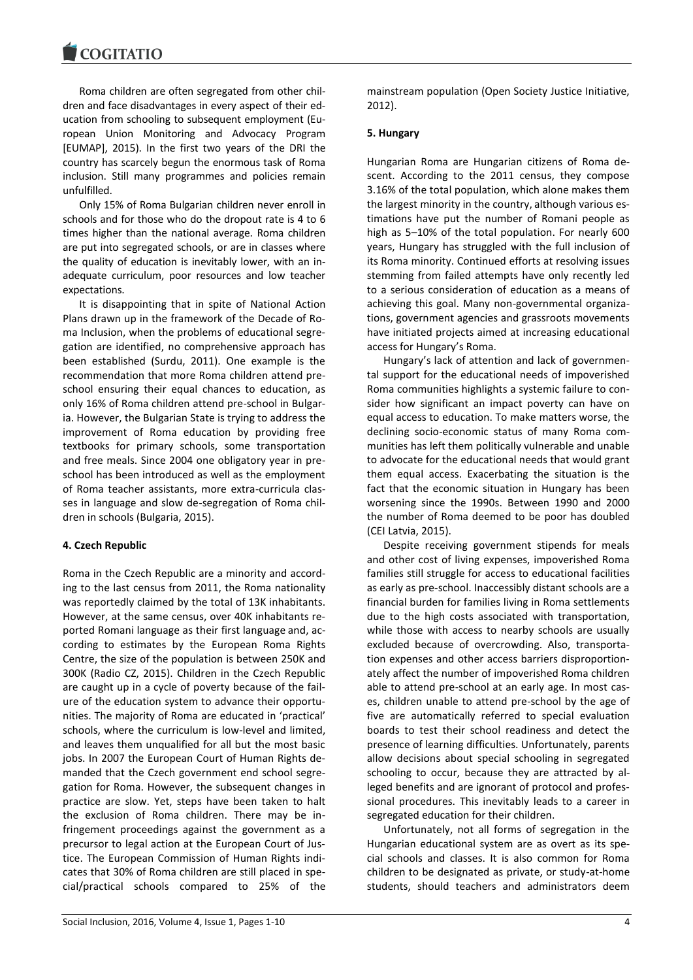Roma children are often segregated from other children and face disadvantages in every aspect of their education from schooling to subsequent employment (European Union Monitoring and Advocacy Program [EUMAP], 2015). In the first two years of the DRI the country has scarcely begun the enormous task of Roma inclusion. Still many programmes and policies remain unfulfilled.

Only 15% of Roma Bulgarian children never enroll in schools and for those who do the dropout rate is 4 to 6 times higher than the national average. Roma children are put into segregated schools, or are in classes where the quality of education is inevitably lower, with an inadequate curriculum, poor resources and low teacher expectations.

It is disappointing that in spite of National Action Plans drawn up in the framework of the Decade of Roma Inclusion, when the problems of educational segregation are identified, no comprehensive approach has been established (Surdu, 2011). One example is the recommendation that more Roma children attend preschool ensuring their equal chances to education, as only 16% of Roma children attend pre-school in Bulgaria. However, the Bulgarian State is trying to address the improvement of Roma education by providing free textbooks for primary schools, some transportation and free meals. Since 2004 one obligatory year in preschool has been introduced as well as the employment of Roma teacher assistants, more extra-curricula classes in language and slow de-segregation of Roma children in schools (Bulgaria, 2015).

## **4. Czech Republic**

Roma in the Czech Republic are a minority and according to the last census from 2011, the Roma nationality was reportedly claimed by the total of 13K inhabitants. However, at the same census, over 40K inhabitants reported [Romani language](http://en.wikipedia.org/wiki/Romani_language) as their first language and, according to estimates by the [European Roma Rights](http://en.wikipedia.org/wiki/European_Roma_Rights_Centre)  [Centre,](http://en.wikipedia.org/wiki/European_Roma_Rights_Centre) the size of the population is between 250K and 300K (Radio CZ, 2015). Children in the Czech Republic are caught up in a cycle of poverty because of the failure of the education system to advance their opportunities. The majority of Roma are educated in 'practical' schools, where the curriculum is low-level and limited, and leaves them unqualified for all but the most basic jobs. In 2007 the European Court of Human Rights demanded that the Czech government end school segregation for Roma. However, the subsequent changes in practice are slow. Yet, steps have been taken to halt the exclusion of Roma children. There may be infringement proceedings against the government as a precursor to legal action at the European Court of Justice. The European Commission of Human Rights indicates that 30% of Roma children are still placed in special/practical schools compared to 25% of the

mainstream population (Open Society Justice Initiative, 2012).

#### **5. Hungary**

Hungarian Roma are [Hungarian](http://en.wikipedia.org/wiki/Hungary) citizens of [Roma de](http://en.wikipedia.org/wiki/Romani_people)[scent.](http://en.wikipedia.org/wiki/Romani_people) According to the 2011 census, they compose 3.16% of the total population, which alone makes them the largest minority in the country, although various estimations have put the number of Romani people as high as 5–10% of the total population. For nearly 600 years, Hungary has struggled with the full inclusion of its Roma minority. Continued efforts at resolving issues stemming from failed attempts have only recently led to a serious consideration of education as a means of achieving this goal. Many non-governmental organizations, government agencies and grassroots movements have initiated projects aimed at increasing educational access for Hungary's Roma.

Hungary's lack of attention and lack of governmental support for the educational needs of impoverished Roma communities highlights a systemic failure to consider how significant an impact poverty can have on equal access to education. To make matters worse, the declining socio-economic status of many Roma communities has left them politically vulnerable and unable to advocate for the educational needs that would grant them equal access. Exacerbating the situation is the fact that the economic situation in Hungary has been worsening since the 1990s. Between 1990 and 2000 the number of Roma deemed to be poor has doubled (CEI Latvia, 2015).

Despite receiving government stipends for meals and other cost of living expenses, impoverished Roma families still struggle for access to educational facilities as early as pre-school. Inaccessibly distant schools are a financial burden for families living in Roma settlements due to the high costs associated with transportation, while those with access to nearby schools are usually excluded because of overcrowding. Also, transportation expenses and other access barriers disproportionately affect the number of impoverished Roma children able to attend pre-school at an early age. In most cases, children unable to attend pre-school by the age of five are automatically referred to special evaluation boards to test their school readiness and detect the presence of learning difficulties. Unfortunately, parents allow decisions about special schooling in segregated schooling to occur, because they are attracted by alleged benefits and are ignorant of protocol and professional procedures. This inevitably leads to a career in segregated education for their children.

Unfortunately, not all forms of segregation in the Hungarian educational system are as overt as its special schools and classes. It is also common for Roma children to be designated as private, or study-at-home students, should teachers and administrators deem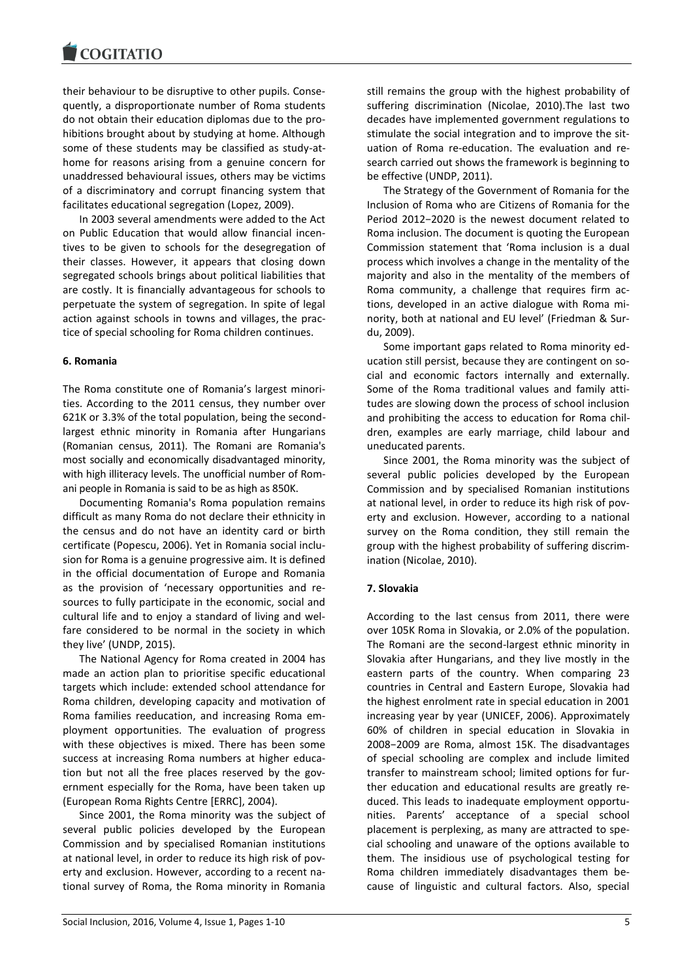their behaviour to be disruptive to other pupils. Consequently, a disproportionate number of Roma students do not obtain their education diplomas due to the prohibitions brought about by studying at home. Although some of these students may be classified as study-athome for reasons arising from a genuine concern for unaddressed behavioural issues, others may be victims of a discriminatory and corrupt financing system that facilitates educational segregation (Lopez, 2009).

In 2003 several amendments were added to the Act on Public Education that would allow financial incentives to be given to schools for the desegregation of their classes. However, it appears that closing down segregated schools brings about political liabilities that are costly. It is financially advantageous for schools to perpetuate the system of segregation. In spite of legal action against schools in towns and villages, the practice of special schooling for Roma children continues.

## **6. Romania**

The Roma constitute one of Romania's largest minorities. According to the [2011 census,](http://en.wikipedia.org/wiki/Demographic_history_of_Romania) they number over 621K or 3.3% of the total population, being the secondlargest ethnic minority in Romania after [Hungarians](http://en.wikipedia.org/wiki/Hungarian_minority_in_Romania) (Romanian census, 2011). The Romani are Romania's most socially and economically disadvantaged minority, with high illiteracy levels. The unofficial number of Romani people in Romania is said to be as high as 850K.

Documenting Romania's Roma population remains difficult as many Roma do not declare their ethnicity in the census and do not have an identity card or birth certificate (Popescu, 2006). Yet in Romania social inclusion for Roma is a genuine progressive aim. It is defined in the official documentation of Europe and Romania as the provision of 'necessary opportunities and resources to fully participate in the economic, social and cultural life and to enjoy a standard of living and welfare considered to be normal in the society in which they live' (UNDP, 2015).

The National Agency for Roma created in 2004 has made an action plan to prioritise specific educational targets which include: extended school attendance for Roma children, developing capacity and motivation of Roma families reeducation, and increasing Roma employment opportunities. The evaluation of progress with these objectives is mixed. There has been some success at increasing Roma numbers at higher education but not all the free places reserved by the government especially for the Roma, have been taken up (European Roma Rights Centre [ERRC], 2004).

Since 2001, the Roma minority was the subject of several public policies developed by the European Commission and by specialised Romanian institutions at national level, in order to reduce its high risk of poverty and exclusion. However, according to a recent national survey of Roma, the Roma minority in Romania

still remains the group with the highest probability of suffering discrimination (Nicolae, 2010).The last two decades have implemented government regulations to stimulate the social integration and to improve the situation of Roma re-education. The evaluation and research carried out shows the framework is beginning to be effective (UNDP, 2011).

The Strategy of the Government of Romania for the Inclusion of Roma who are Citizens of Romania for the Period 2012−2020 is the newest document related to Roma inclusion. The document is quoting the European Commission statement that 'Roma inclusion is a dual process which involves a change in the mentality of the majority and also in the mentality of the members of Roma community, a challenge that requires firm actions, developed in an active dialogue with Roma minority, both at national and EU level' (Friedman & Surdu, 2009).

Some important gaps related to Roma minority education still persist, because they are contingent on social and economic factors internally and externally. Some of the Roma traditional values and family attitudes are slowing down the process of school inclusion and prohibiting the access to education for Roma children, examples are early marriage, child labour and uneducated parents.

Since 2001, the Roma minority was the subject of several public policies developed by the European Commission and by specialised Romanian institutions at national level, in order to reduce its high risk of poverty and exclusion. However, according to a national survey on the Roma condition, they still remain the group with the highest probability of suffering discrimination (Nicolae, 2010).

# **7. Slovakia**

According to the last census from 2011, there were over 105K Roma in [Slovakia,](http://en.wikipedia.org/wiki/Slovakia) or 2.0% of the population. The Romani are the second-largest ethnic minority in Slovakia after [Hungarians,](http://en.wikipedia.org/wiki/Hungarians_in_Slovakia) and they live mostly in the eastern parts of the country. When comparing 23 countries in Central and Eastern Europe, Slovakia had the highest enrolment rate in special education in 2001 increasing year by year (UNICEF, 2006). Approximately 60% of children in special education in Slovakia in 2008−2009 are Roma, almost 15K. The disadvantages of special schooling are complex and include limited transfer to mainstream school; limited options for further education and educational results are greatly reduced. This leads to inadequate employment opportunities. Parents' acceptance of a special school placement is perplexing, as many are attracted to special schooling and unaware of the options available to them. The insidious use of psychological testing for Roma children immediately disadvantages them because of linguistic and cultural factors. Also, special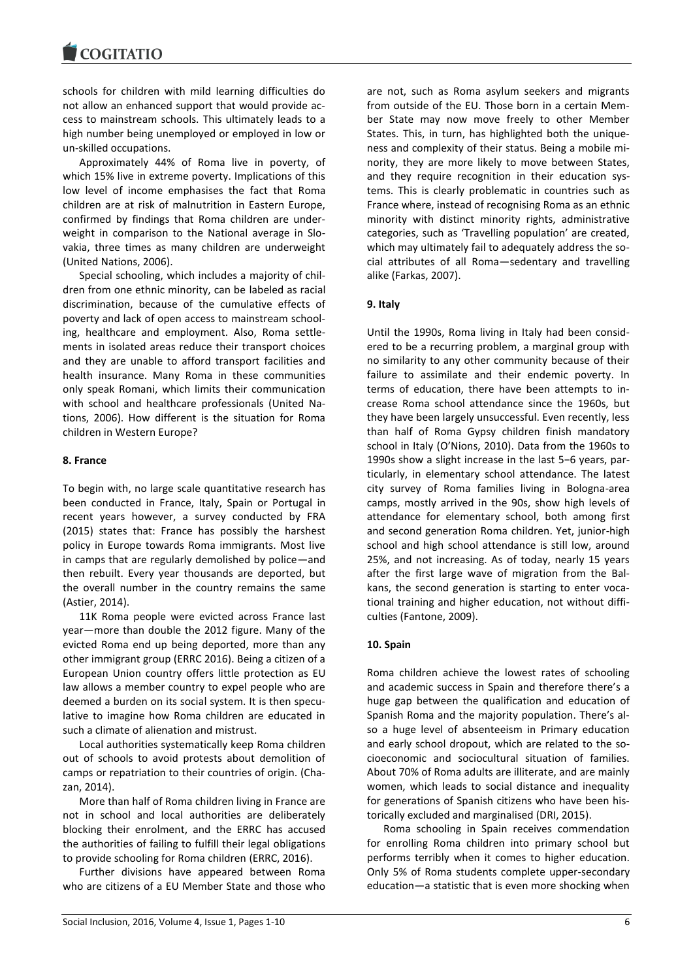schools for children with mild learning difficulties do not allow an enhanced support that would provide access to mainstream schools. This ultimately leads to a high number being unemployed or employed in low or un-skilled occupations.

Approximately 44% of Roma live in poverty, of which 15% live in extreme poverty. Implications of this low level of income emphasises the fact that Roma children are at risk of malnutrition in Eastern Europe, confirmed by findings that Roma children are underweight in comparison to the National average in Slovakia, three times as many children are underweight (United Nations, 2006).

Special schooling, which includes a majority of children from one ethnic minority, can be labeled as racial discrimination, because of the cumulative effects of poverty and lack of open access to mainstream schooling, healthcare and employment. Also, Roma settlements in isolated areas reduce their transport choices and they are unable to afford transport facilities and health insurance. Many Roma in these communities only speak Romani, which limits their communication with school and healthcare professionals (United Nations, 2006). How different is the situation for Roma children in Western Europe?

## **8. France**

To begin with, no large scale quantitative research has been conducted in France, Italy, Spain or Portugal in recent years however, a survey conducted by FRA (2015) states that: France has possibly the harshest policy in Europe towards Roma immigrants. Most live in camps that are regularly demolished by police—and then rebuilt. Every year thousands are deported, but the overall number in the country remains the same (Astier, 2014).

11K Roma people were evicted across France last year—more than double the 2012 figure. Many of the evicted Roma end up being deported, more than any other immigrant group (ERRC 2016). Being a citizen of a European Union country offers little protection as EU law allows a member country to expel people who are deemed a burden on its social system. It is then speculative to imagine how Roma children are educated in such a climate of alienation and mistrust.

Local authorities systematically keep Roma children out of schools to avoid protests about demolition of camps or repatriation to their countries of origin. (Chazan, 2014).

More than half of Roma children living in France are not in school and local authorities are deliberately blocking their enrolment, and the ERRC has accused the authorities of failing to fulfill their legal obligations to provide schooling for Roma children (ERRC, 2016).

Further divisions have appeared between Roma who are citizens of a EU Member State and those who are not, such as Roma asylum seekers and migrants from outside of the EU. Those born in a certain Member State may now move freely to other Member States. This, in turn, has highlighted both the uniqueness and complexity of their status. Being a mobile minority, they are more likely to move between States, and they require recognition in their education systems. This is clearly problematic in countries such as France where, instead of recognising Roma as an ethnic minority with distinct minority rights, administrative categories, such as 'Travelling population' are created, which may ultimately fail to adequately address the social attributes of all Roma—sedentary and travelling alike (Farkas, 2007).

# **9. Italy**

Until the 1990s, Roma living in Italy had been considered to be a recurring problem, a marginal group with no similarity to any other community because of their failure to assimilate and their endemic poverty. In terms of education, there have been attempts to increase Roma school attendance since the 1960s, but they have been largely unsuccessful. Even recently, less than half of Roma Gypsy children finish mandatory school in Italy (O'Nions, 2010). Data from the 1960s to 1990s show a slight increase in the last 5−6 years, particularly, in elementary school attendance. The latest city survey of Roma families living in Bologna-area camps, mostly arrived in the 90s, show high levels of attendance for elementary school, both among first and second generation Roma children. Yet, junior-high school and high school attendance is still low, around 25%, and not increasing. As of today, nearly 15 years after the first large wave of migration from the Balkans, the second generation is starting to enter vocational training and higher education, not without difficulties (Fantone, 2009).

# **10. Spain**

Roma children achieve the lowest rates of schooling and academic success in Spain and therefore there's a huge gap between the qualification and education of Spanish Roma and the majority population. There's also a huge level of absenteeism in Primary education and early school dropout, which are related to the socioeconomic and sociocultural situation of families. About 70% of Roma adults are illiterate, and are mainly women, which leads to social distance and inequality for generations of Spanish citizens who have been historically excluded and marginalised (DRI, 2015).

Roma schooling in Spain receives commendation for enrolling Roma children into primary school but performs terribly when it comes to higher education. Only 5% of Roma students complete upper-secondary education—a statistic that is even more shocking when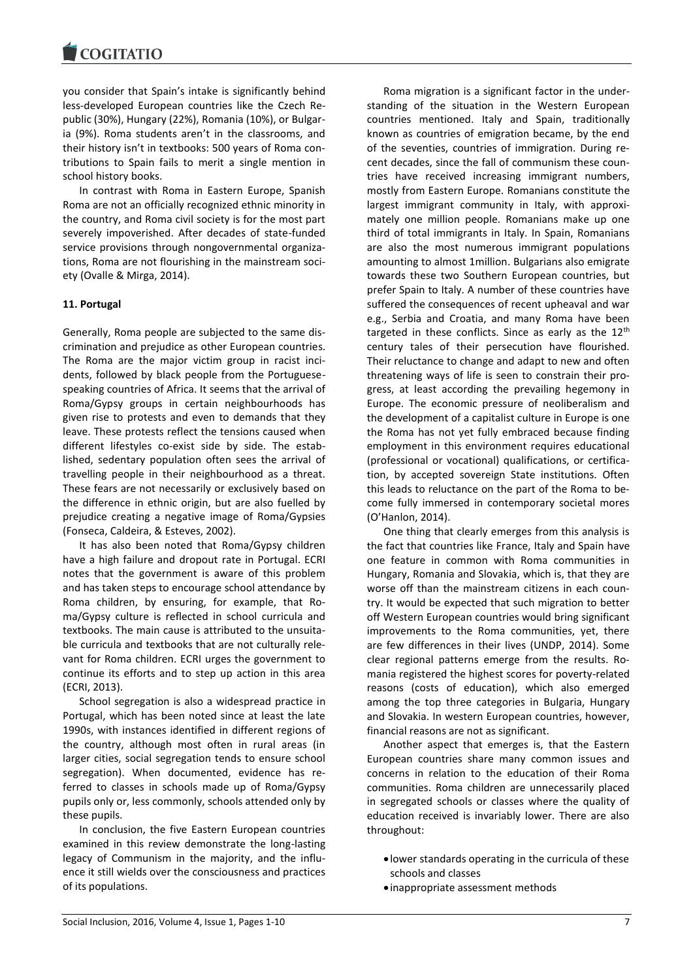you consider that Spain's intake [is significantly behind](http://fra.europa.eu/sites/default/files/fra_uploads/2110-FRA-media-memo-Roma-survey-230512_EN.pdf)  [less-developed European countries](http://fra.europa.eu/sites/default/files/fra_uploads/2110-FRA-media-memo-Roma-survey-230512_EN.pdf) like the Czech Republic (30%), Hungary (22%), Romania (10%), or Bulgaria (9%). Roma students aren't in the classrooms, and their history isn't in textbooks: 500 years of Roma contributions to Spain fails to merit a single mention in school history books.

In contrast with Roma in Eastern Europe, Spanish Roma are not an officially recognized ethnic minority in the country, and Roma civil society is for the most part severely impoverished. After decades of state-funded service provisions through nongovernmental organizations, Roma are not flourishing in the mainstream society (Ovalle & Mirga, 2014).

# **11. Portugal**

Generally, Roma people are subjected to the same discrimination and prejudice as other European countries. The Roma are the major victim group in racist incidents, followed by black people from the Portuguesespeaking countries of Africa. It seems that the arrival of Roma/Gypsy groups in certain neighbourhoods has given rise to protests and even to demands that they leave. These protests reflect the tensions caused when different lifestyles co-exist side by side. The established, sedentary population often sees the arrival of travelling people in their neighbourhood as a threat. These fears are not necessarily or exclusively based on the difference in ethnic origin, but are also fuelled by prejudice creating a negative image of Roma/Gypsies (Fonseca, Caldeira, & Esteves, 2002).

It has also been noted that Roma/Gypsy children have a high failure and dropout rate in Portugal. ECRI notes that the government is aware of this problem and has taken steps to encourage school attendance by Roma children, by ensuring, for example, that Roma/Gypsy culture is reflected in school curricula and textbooks. The main cause is attributed to the unsuitable curricula and textbooks that are not culturally relevant for Roma children. ECRI urges the government to continue its efforts and to step up action in this area (ECRI, 2013).

School segregation is also a widespread practice in Portugal, which has been noted since at least the late 1990s, with instances identified in different regions of the country, although most often in rural areas (in larger cities, social segregation tends to ensure school segregation). When documented, evidence has referred to classes in schools made up of Roma/Gypsy pupils only or, less commonly, schools attended only by these pupils.

In conclusion, the five Eastern European countries examined in this review demonstrate the long-lasting legacy of Communism in the majority, and the influence it still wields over the consciousness and practices of its populations.

Roma migration is a significant factor in the understanding of the situation in the Western European countries mentioned. Italy and Spain, traditionally known as countries of emigration became, by the end of the seventies, countries of immigration. During recent decades, since the fall of communism these countries have received increasing immigrant numbers, mostly from Eastern Europe. Romanians constitute the largest immigrant community in Italy, with approximately one million people. Romanians make up one third of total immigrants in Italy. In Spain, Romanians are also the most numerous immigrant populations amounting to almost 1million. Bulgarians also emigrate towards these two Southern European countries, but prefer Spain to Italy. A number of these countries have suffered the consequences of recent upheaval and war e.g., Serbia and Croatia, and many Roma have been targeted in these conflicts. Since as early as the  $12<sup>th</sup>$ century tales of their persecution have flourished. Their reluctance to change and adapt to new and often threatening ways of life is seen to constrain their progress, at least according the prevailing hegemony in Europe. The economic pressure of neoliberalism and the development of a capitalist culture in Europe is one the Roma has not yet fully embraced because finding employment in this environment requires educational (professional or vocational) qualifications, or certification, by accepted sovereign State institutions. Often this leads to reluctance on the part of the Roma to become fully immersed in contemporary societal mores (O'Hanlon, 2014).

One thing that clearly emerges from this analysis is the fact that countries like France, Italy and Spain have one feature in common with Roma communities in Hungary, Romania and Slovakia, which is, that they are worse off than the mainstream citizens in each country. It would be expected that such migration to better off Western European countries would bring significant improvements to the Roma communities, yet, there are few differences in their lives (UNDP, 2014). Some clear regional patterns emerge from the results. Romania registered the highest scores for poverty-related reasons (costs of education), which also emerged among the top three categories in Bulgaria, Hungary and Slovakia. In western European countries, however, financial reasons are not as significant.

Another aspect that emerges is, that the Eastern European countries share many common issues and concerns in relation to the education of their Roma communities. Roma children are unnecessarily placed in segregated schools or classes where the quality of education received is invariably lower. There are also throughout:

- lower standards operating in the curricula of these schools and classes
- inappropriate assessment methods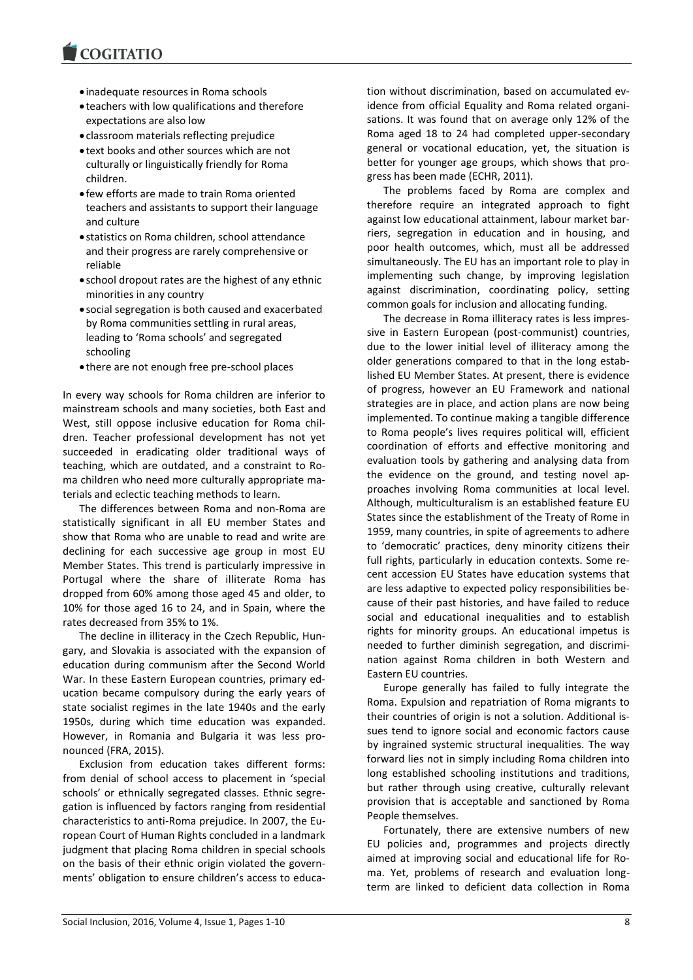- inadequate resources in Roma schools
- teachers with low qualifications and therefore expectations are also low
- classroom materials reflecting prejudice
- text books and other sources which are not culturally or linguistically friendly for Roma children.
- few efforts are made to train Roma oriented teachers and assistants to support their language and culture
- statistics on Roma children, school attendance and their progress are rarely comprehensive or reliable
- school dropout rates are the highest of any ethnic minorities in any country
- social segregation is both caused and exacerbated by Roma communities settling in rural areas, leading to 'Roma schools' and segregated schooling
- there are not enough free pre-school places

In every way schools for Roma children are inferior to mainstream schools and many societies, both East and West, still oppose inclusive education for Roma children. Teacher professional development has not yet succeeded in eradicating older traditional ways of teaching, which are outdated, and a constraint to Roma children who need more culturally appropriate materials and eclectic teaching methods to learn.

The differences between Roma and non-Roma are statistically significant in all EU member States and show that Roma who are unable to read and write are declining for each successive age group in most EU Member States. This trend is particularly impressive in Portugal where the share of illiterate Roma has dropped from 60% among those aged 45 and older, to 10% for those aged 16 to 24, and in Spain, where the rates decreased from 35% to 1%.

The decline in illiteracy in the Czech Republic, Hungary, and Slovakia is associated with the expansion of education during communism after the Second World War. In these Eastern European countries, primary education became compulsory during the early years of state socialist regimes in the late 1940s and the early 1950s, during which time education was expanded. However, in Romania and Bulgaria it was less pronounced (FRA, 2015).

Exclusion from education takes different forms: from denial of school access to placement in 'special schools' or ethnically segregated classes. Ethnic segregation is influenced by factors ranging from residential characteristics to anti-Roma prejudice. In 2007, the European Court of Human Rights concluded in a landmark judgment that placing Roma children in special schools on the basis of their ethnic origin violated the governments' obligation to ensure children's access to education without discrimination, based on accumulated evidence from official Equality and Roma related organisations. It was found that on average only 12% of the Roma aged 18 to 24 had completed upper-secondary general or vocational education, yet, the situation is better for younger age groups, which shows that progress has been made (ECHR, 2011).

The problems faced by Roma are complex and therefore require an integrated approach to fight against low educational attainment, labour market barriers, segregation in education and in housing, and poor health outcomes, which, must all be addressed simultaneously. The EU has an important role to play in implementing such change, by improving legislation against discrimination, coordinating policy, setting common goals for inclusion and allocating funding.

The decrease in Roma illiteracy rates is less impressive in Eastern European (post-communist) countries, due to the lower initial level of illiteracy among the older generations compared to that in the long established EU Member States. At present, there is evidence of progress, however an EU Framework and national strategies are in place, and action plans are now being implemented. To continue making a tangible difference to Roma people's lives requires political will, efficient coordination of efforts and effective monitoring and evaluation tools by gathering and analysing data from the evidence on the ground, and testing novel approaches involving Roma communities at local level. Although, multiculturalism is an established feature EU States since the establishment of the Treaty of Rome in 1959, many countries, in spite of agreements to adhere to 'democratic' practices, deny minority citizens their full rights, particularly in education contexts. Some recent accession EU States have education systems that are less adaptive to expected policy responsibilities because of their past histories, and have failed to reduce social and educational inequalities and to establish rights for minority groups. An educational impetus is needed to further diminish segregation, and discrimination against Roma children in both Western and Eastern EU countries.

Europe generally has failed to fully integrate the Roma. Expulsion and repatriation of Roma migrants to their countries of origin is not a solution. Additional issues tend to ignore social and economic factors cause by ingrained systemic structural inequalities. The way forward lies not in simply including Roma children into long established schooling institutions and traditions, but rather through using creative, culturally relevant provision that is acceptable and sanctioned by Roma People themselves.

Fortunately, there are extensive numbers of new EU policies and, programmes and projects directly aimed at improving social and educational life for Roma. Yet, problems of research and evaluation longterm are linked to deficient data collection in Roma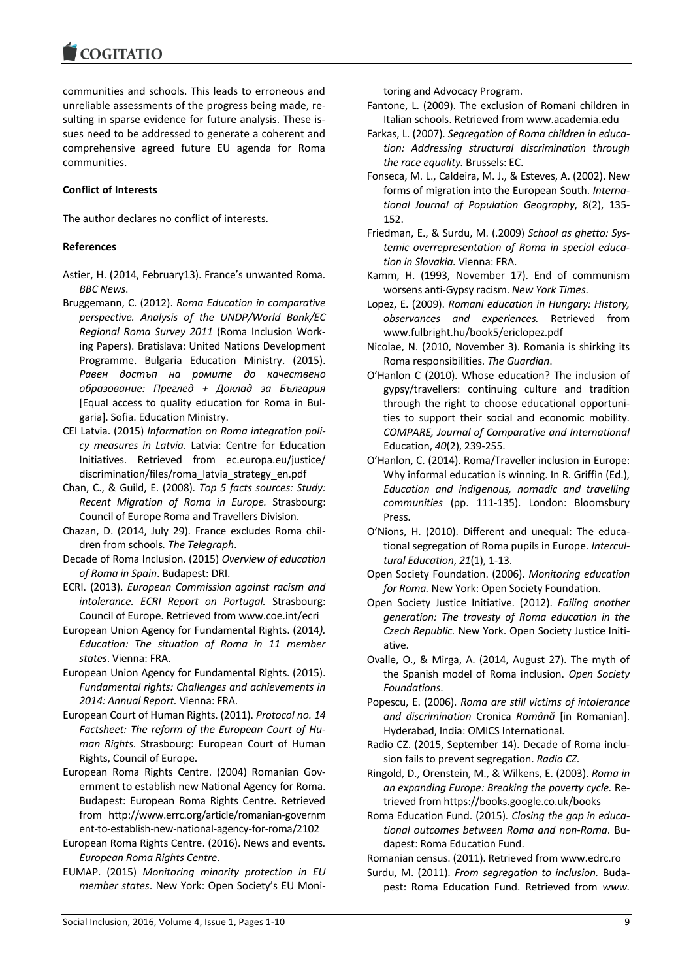**COGITATIO** 

communities and schools. This leads to erroneous and unreliable assessments of the progress being made, resulting in sparse evidence for future analysis. These issues need to be addressed to generate a coherent and comprehensive agreed future EU agenda for Roma communities.

## **Conflict of Interests**

The author declares no conflict of interests.

## **References**

- Astier, H. (2014, February13). France's unwanted Roma*. BBC News*.
- Bruggemann, C. (2012). *Roma Education in comparative perspective. Analysis of the UNDP/World Bank/EC Regional Roma Survey 2011* (Roma Inclusion Working Papers). Bratislava: United Nations Development Programme. Bulgaria Education Ministry. (2015). *Равен достъп на ромите до качествено образование: Преглед + Доклад за България* [Equal access to quality education for Roma in Bulgaria]. Sofia. Education Ministry.
- CEI Latvia. (2015) *[Information on Roma integration poli](http://ec.europa.eu/justice/discrimination/files/roma_latvia_strategy_en.pdf)[cy measures in Latvia](http://ec.europa.eu/justice/discrimination/files/roma_latvia_strategy_en.pdf)*. Latvia: Centre for Education Initiatives. Retrieved from ec.europa.eu/justice/ discrimination/files/roma\_latvia\_strategy\_en.pdf
- Chan, C., & Guild, E. (2008). *Top 5 facts sources: Study: Recent Migration of Roma in Europe.* Strasbourg: Council of Europe Roma and Travellers Division.
- Chazan, D. (2014, July 29). France excludes Roma children from schools*. The Telegraph*.
- Decade of Roma Inclusion. (2015) *Overview of education of Roma in Spain*. Budapest: DRI.
- ECRI. (2013). *European Commission against racism and intolerance. ECRI Report on Portugal.* Strasbourg: Council of Europe. Retrieved from www.coe.int/ecri
- European Union Agency for Fundamental Rights. (2014*). Education: The situation of Roma in 11 member states*. Vienna: FRA.
- European Union Agency for Fundamental Rights. (2015). *Fundamental rights: Challenges and achievements in 2014: Annual Report.* Vienna: FRA.
- European Court of Human Rights. (2011). *Protocol no. 14 Factsheet: The reform of the European Court of Human Rights*. Strasbourg: European Court of Human Rights, Council of Europe.
- European Roma Rights Centre. (2004) Romanian Government to establish new National Agency for Roma. Budapest: European Roma Rights Centre. Retrieved from http://www.errc.org/article/romanian-governm ent-to-establish-new-national-agency-for-roma/2102
- European Roma Rights Centre. (2016). News and events*. European Roma Rights Centre*.
- EUMAP. (2015) *Monitoring minority protection in EU member states*. New York: Open Society's EU Moni-

toring and Advocacy Program.

- Fantone, L. (2009). The exclusion of Romani children in Italian schools. Retrieved from www.academia.edu
- Farkas, L. (2007). *Segregation of Roma children in education: Addressing structural discrimination through the race equality.* Brussels: EC.
- Fonseca, M. L., Caldeira, M. J., & Esteves, A. (2002). New forms of migration into the European South. *International Journal of Population Geography*, 8(2), 135- 152.
- Friedman, E., & Surdu, M. (.2009) *School as ghetto: Systemic overrepresentation of Roma in special education in Slovakia.* Vienna: FRA.
- Kamm, H. (1993, November 17). End of communism worsens anti-Gypsy racism. *New York Times*.
- Lopez, E. (2009). *Romani education in Hungary: History, observances and experiences.* Retrieved from www.fulbright.hu/book5/ericlopez.pdf
- Nicolae, N. (2010, November 3). Romania is shirking its Roma responsibilities. *The Guardian*.
- O'Hanlon C (2010). Whose education? The inclusion of gypsy/travellers: continuing culture and tradition through the right to choose educational opportunities to support their social and economic mobility. *COMPARE, Journal of Comparative and International*  Education, *40*(2), 239-255.
- O'Hanlon, C. (2014). Roma/Traveller inclusion in Europe: Why informal education is winning. In R. Griffin (Ed.), *Education and indigenous, nomadic and travelling communities* (pp. 111-135). London: Bloomsbury Press.
- O'Nions, H. (2010). Different and unequal: The educational segregation of Roma pupils in Europe. *Intercultural Education*, *21*(1), 1-13.
- Open Society Foundation. (2006). *Monitoring education for Roma.* New York: Open Society Foundation.
- Open Society Justice Initiative. (2012). *Failing another generation: The travesty of Roma education in the Czech Republic.* New York. Open Society Justice Initiative.
- Ovalle, O., & Mirga, A. (2014, August 27). The myth of the Spanish model of Roma inclusion. *Open Society Foundations*.
- Popescu, E. (2006). *Roma are still victims of intolerance and discrimination* Cronica *Română* [in Romanian]. Hyderabad, India: OMICS International.
- Radio CZ. (2015, September 14). [Decade of Roma inclu](http://romove.radio.cz/en/article/26962)[sion fails to prevent segregation.](http://romove.radio.cz/en/article/26962) *Radio CZ*.
- Ringold, D., Orenstein, M., & Wilkens, E. (2003). *Roma in an expanding Europe: Breaking the poverty cycle.* Retrieved from https://books.google.co.uk/books
- Roma Education Fund. (2015)*. Closing the gap in educational outcomes between Roma and non-Roma*. Budapest: Roma Education Fund.

Romanian census. (2011). Retrieved from www.edrc.ro

Surdu, M. (2011). *From segregation to inclusion.* Budapest: Roma Education Fund. Retrieved from *www.*